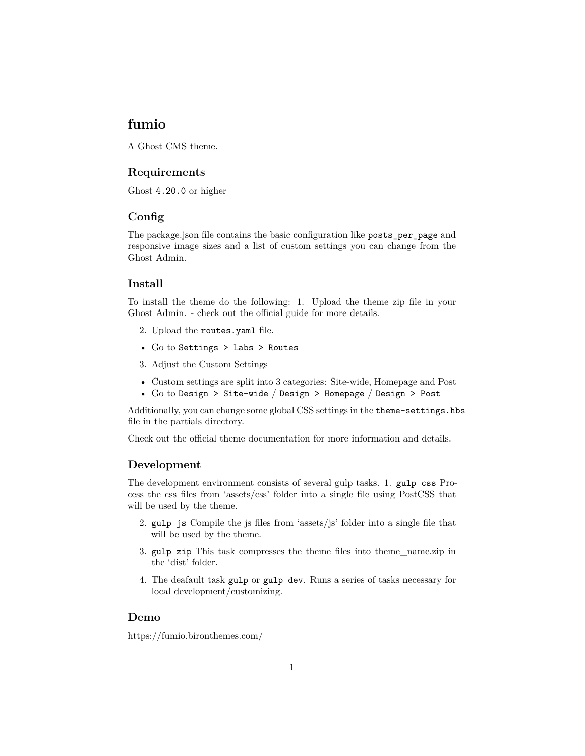### **fumio**

A Ghost CMS theme.

### **Requirements**

Ghost 4.20.0 or higher

#### **Config**

The package.json file contains the basic configuration like posts\_per\_page and responsive image sizes and a list of custom settings you can change from the Ghost Admin.

#### **Install**

To install the theme do the following: 1. Upload the theme zip file in your Ghost Admin. - check out the [official guide](https://ghost.org/help/installing-a-theme/) for more details.

- 2. Upload the routes.yaml file.
- Go to Settings > Labs > Routes
- 3. Adjust the Custom Settings
- Custom settings are split into 3 categories: Site-wide, Homepage and Post
- Go to Design > Site-wide / Design > Homepage / Design > Post

Additionally, you can change some global CSS settings in the theme-settings.hbs file in the partials directory.

Check out the [official theme documentation](https://bironthemes.com/docs/fumio-ghost/) for more information and details.

#### **Development**

The development environment consists of several gulp tasks. 1. gulp css Process the css files from 'assets/css' folder into a single file using PostCSS that will be used by the theme.

- 2. gulp js Compile the js files from 'assets/js' folder into a single file that will be used by the theme.
- 3. gulp zip This task compresses the theme files into theme\_name.zip in the 'dist' folder.
- 4. The deafault task gulp or gulp dev. Runs a series of tasks necessary for local development/customizing.

#### **Demo**

<https://fumio.bironthemes.com/>